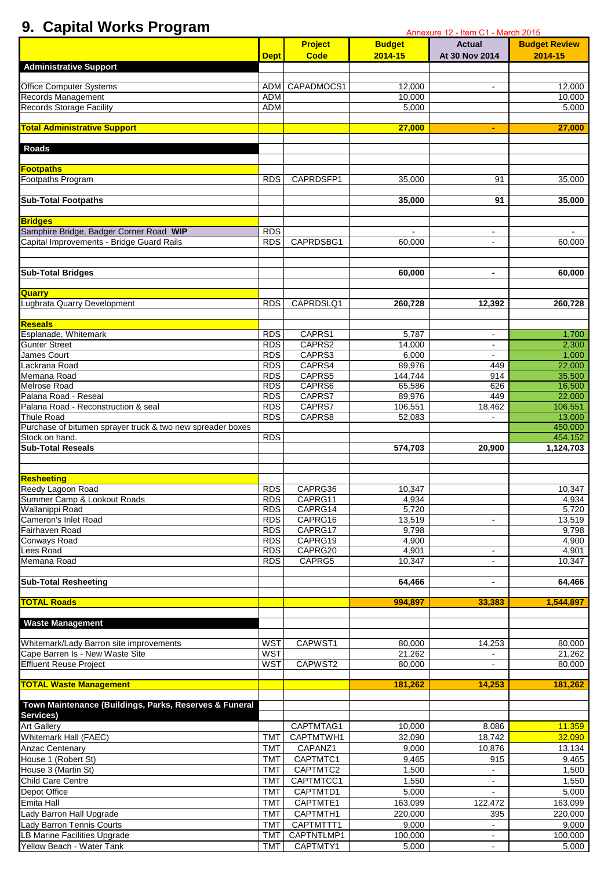## **9. Capital Works Program**

| 9. Gapital Works Program                                         |                          | Annexure 12 - Item C1 - March 2015 |                    |                          |                      |  |  |
|------------------------------------------------------------------|--------------------------|------------------------------------|--------------------|--------------------------|----------------------|--|--|
|                                                                  |                          | <b>Project</b>                     | <b>Budget</b>      | <b>Actual</b>            | <b>Budget Review</b> |  |  |
|                                                                  | <b>Dept</b>              | <b>Code</b>                        | 2014-15            | At 30 Nov 2014           | 2014-15              |  |  |
| <b>Administrative Support</b>                                    |                          |                                    |                    |                          |                      |  |  |
| <b>Office Computer Systems</b>                                   |                          | ADM CAPADMOCS1                     | 12,000             | $\blacksquare$           | 12,000               |  |  |
| Records Management                                               | ADM                      |                                    | 10,000             |                          | 10,000               |  |  |
| <b>Records Storage Facility</b>                                  | ADM                      |                                    | 5,000              |                          | 5,000                |  |  |
|                                                                  |                          |                                    |                    |                          |                      |  |  |
| <b>Total Administrative Support</b>                              |                          |                                    | 27,000             | ٠                        | 27,000               |  |  |
|                                                                  |                          |                                    |                    |                          |                      |  |  |
| <b>Roads</b>                                                     |                          |                                    |                    |                          |                      |  |  |
| <b>Footpaths</b>                                                 |                          |                                    |                    |                          |                      |  |  |
| Footpaths Program                                                | <b>RDS</b>               | CAPRDSFP1                          | 35,000             | 91                       | 35,000               |  |  |
|                                                                  |                          |                                    |                    |                          |                      |  |  |
| <b>Sub-Total Footpaths</b>                                       |                          |                                    | 35,000             | 91                       | 35,000               |  |  |
|                                                                  |                          |                                    |                    |                          |                      |  |  |
| <b>Bridges</b><br>Samphire Bridge, Badger Corner Road WIP        | RDS.                     |                                    |                    | $\blacksquare$           |                      |  |  |
| Capital Improvements - Bridge Guard Rails                        | RDS                      | CAPRDSBG1                          | 60,000             |                          | 60,000               |  |  |
|                                                                  |                          |                                    |                    |                          |                      |  |  |
|                                                                  |                          |                                    |                    |                          |                      |  |  |
| <b>Sub-Total Bridges</b>                                         |                          |                                    | 60,000             | $\blacksquare$           | 60,000               |  |  |
|                                                                  |                          |                                    |                    |                          |                      |  |  |
| <b>Quarry Manual Property</b><br>Lughrata Quarry Development     | <b>RDS</b>               | CAPRDSLQ1                          | 260,728            | 12,392                   | 260,728              |  |  |
|                                                                  |                          |                                    |                    |                          |                      |  |  |
| Reseals                                                          |                          |                                    |                    |                          |                      |  |  |
| Esplanade, Whitemark                                             | <b>RDS</b>               | CAPRS1                             | 5,787              | $\blacksquare$           | 1,700                |  |  |
| <b>Gunter Street</b>                                             | <b>RDS</b>               | CAPRS2                             | 14,000             | $\blacksquare$           | 2,300                |  |  |
| James Court                                                      | <b>RDS</b>               | CAPRS3                             | 6,000              |                          | 1,000                |  |  |
| Lackrana Road                                                    | <b>RDS</b>               | CAPRS4                             | 89,976             | 449                      | 22,000               |  |  |
| Memana Road                                                      | <b>RDS</b>               | CAPRS5                             | 144,744            | 914                      | 35,500               |  |  |
| <b>Melrose Road</b>                                              | <b>RDS</b>               | CAPRS6                             | 65,586             | 626                      | 16,500               |  |  |
| Palana Road - Reseal                                             | <b>RDS</b>               | CAPRS7                             | 89,976             | 449                      | 22,000               |  |  |
| Palana Road - Reconstruction & seal<br><b>Thule Road</b>         | <b>RDS</b>               | CAPRS7                             | 106,551            | 18,462                   | 106,551              |  |  |
| Purchase of bitumen sprayer truck & two new spreader boxes       | <b>RDS</b>               | CAPRS8                             | 52,083             |                          | 13,000<br>450,000    |  |  |
| Stock on hand.                                                   | <b>RDS</b>               |                                    |                    |                          | 454,152              |  |  |
| <b>Sub-Total Reseals</b>                                         |                          |                                    | 574,703            | 20,900                   | 1,124,703            |  |  |
|                                                                  |                          |                                    |                    |                          |                      |  |  |
|                                                                  |                          |                                    |                    |                          |                      |  |  |
| <b>Resheeting<br/>Reedy Lagoon Road</b>                          |                          |                                    |                    |                          |                      |  |  |
|                                                                  | <b>RDS</b>               | CAPRG36                            | 10,347             |                          | 10,347               |  |  |
| Summer Camp & Lookout Roads<br>Wallanippi Road                   | <b>RDS</b><br><b>RDS</b> | CAPRG11<br>CAPRG14                 | 4,934              |                          | 4,934                |  |  |
| Cameron's Inlet Road                                             | <b>RDS</b>               | CAPRG16                            | 5,720<br>13,519    | $\blacksquare$           | 5,720<br>13,519      |  |  |
| Fairhaven Road                                                   | <b>RDS</b>               | CAPRG17                            | 9,798              |                          | 9,798                |  |  |
| <b>Conways Road</b>                                              | <b>RDS</b>               | CAPRG19                            | 4,900              |                          | 4,900                |  |  |
| Lees Road                                                        | <b>RDS</b>               | CAPRG20                            | 4,901              | $\blacksquare$           | 4,901                |  |  |
| Memana Road                                                      | <b>RDS</b>               | CAPRG5                             | 10,347             | $\blacksquare$           | 10,347               |  |  |
|                                                                  |                          |                                    |                    |                          |                      |  |  |
| <b>Sub-Total Resheeting</b>                                      |                          |                                    | 64,466             | $\overline{\phantom{a}}$ | 64,466               |  |  |
| <b>TOTAL Roads</b>                                               |                          |                                    | 994,897            | 33,383                   | 1,544,897            |  |  |
|                                                                  |                          |                                    |                    |                          |                      |  |  |
| <b>Waste Management</b>                                          |                          |                                    |                    |                          |                      |  |  |
|                                                                  |                          |                                    |                    |                          |                      |  |  |
| Whitemark/Lady Barron site improvements                          | <b>WST</b>               | CAPWST1                            | 80,000             | 14,253                   | 80,000               |  |  |
| Cape Barren Is - New Waste Site<br><b>Effluent Reuse Project</b> | <b>WST</b><br><b>WST</b> | CAPWST2                            | 21,262<br>80,000   | $\blacksquare$           | 21,262<br>80,000     |  |  |
|                                                                  |                          |                                    |                    |                          |                      |  |  |
| <b>TOTAL Waste Management</b>                                    |                          |                                    | 181,262            | 14,253                   | 181,262              |  |  |
|                                                                  |                          |                                    |                    |                          |                      |  |  |
| Town Maintenance (Buildings, Parks, Reserves & Funeral           |                          |                                    |                    |                          |                      |  |  |
| Services)                                                        |                          |                                    |                    |                          |                      |  |  |
| <b>Art Gallery</b>                                               |                          | CAPTMTAG1                          | 10,000             | 8,086                    | 11,359               |  |  |
| Whitemark Hall (FAEC)                                            | <b>TMT</b>               | CAPTMTWH1                          | 32,090             | 18,742                   | 32,090               |  |  |
| <b>Anzac Centenary</b>                                           | <b>TMT</b>               | CAPANZ1                            | 9,000              | 10,876                   | 13,134               |  |  |
| House 1 (Robert St)                                              | <b>TMT</b>               | CAPTMTC1                           | 9,465              | 915                      | 9,465                |  |  |
| House 3 (Martin St)                                              | <b>TMT</b>               | CAPTMTC2                           | 1,500              |                          | 1,500                |  |  |
| Child Care Centre                                                | <b>TMT</b>               | CAPTMTCC1                          | 1,550              | $\blacksquare$           | 1,550                |  |  |
| Depot Office<br>Emita Hall                                       | <b>TMT</b>               | CAPTMTD1                           | 5,000              | $\blacksquare$           | 5,000                |  |  |
| Lady Barron Hall Upgrade                                         | <b>TMT</b><br><b>TMT</b> | CAPTMTE1<br>CAPTMTH1               | 163,099<br>220,000 | 122,472<br>395           | 163,099<br>220,000   |  |  |
| Lady Barron Tennis Courts                                        | <b>TMT</b>               | CAPTMTTT1                          | 9,000              | $\mathbf{r}$             | 9,000                |  |  |
| LB Marine Facilities Upgrade                                     | TMT                      | CAPTNTLMP1                         | 100,000            | $\blacksquare$           | 100,000              |  |  |
| Yellow Beach - Water Tank                                        | TMT                      | CAPTMTY1                           | 5,000              |                          | 5,000                |  |  |